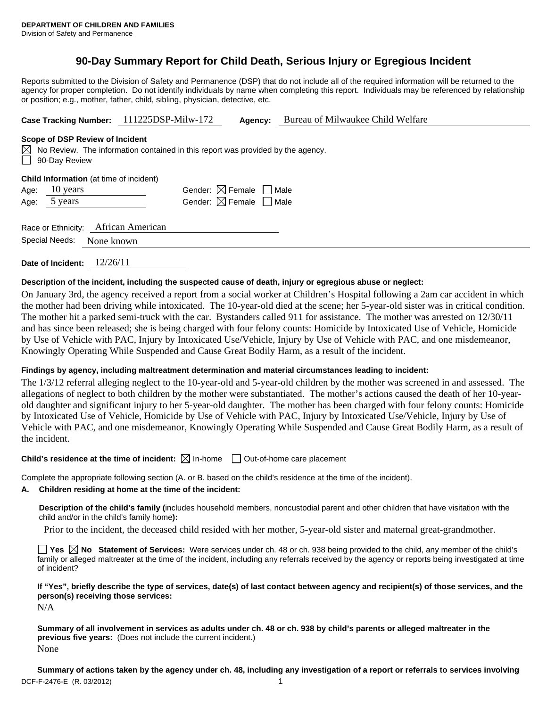# **90-Day Summary Report for Child Death, Serious Injury or Egregious Incident**

Reports submitted to the Division of Safety and Permanence (DSP) that do not include all of the required information will be returned to the agency for proper completion. Do not identify individuals by name when completing this report. Individuals may be referenced by relationship or position; e.g., mother, father, child, sibling, physician, detective, etc.

**Case Tracking Number:** 111225DSP-Milw-172 **Agency:** Bureau of Milwaukee Child Welfare

#### **Scope of DSP Review of Incident**

 $\boxtimes$  No Review. The information contained in this report was provided by the agency. 90-Day Review

|                     | <b>Child Information</b> (at time of incident) |   |
|---------------------|------------------------------------------------|---|
| $\Lambda$ as $\sim$ | $10 \times 20$                                 | C |

| Age: $10 \text{ years}$ |  | Gender: $\boxtimes$ Female $\Box$ Male |  |
|-------------------------|--|----------------------------------------|--|
| Age: 5 years            |  | Gender: $\boxtimes$ Female $\Box$ Male |  |

| Race or Ethnicity: | African American |
|--------------------|------------------|
|                    |                  |

Special Needs: None known

**Date of Incident:** 12/26/11

# **Description of the incident, including the suspected cause of death, injury or egregious abuse or neglect:**

On January 3rd, the agency received a report from a social worker at Children's Hospital following a 2am car accident in which the mother had been driving while intoxicated. The 10-year-old died at the scene; her 5-year-old sister was in critical condition. The mother hit a parked semi-truck with the car. Bystanders called 911 for assistance. The mother was arrested on 12/30/11 and has since been released; she is being charged with four felony counts: Homicide by Intoxicated Use of Vehicle, Homicide by Use of Vehicle with PAC, Injury by Intoxicated Use/Vehicle, Injury by Use of Vehicle with PAC, and one misdemeanor, Knowingly Operating While Suspended and Cause Great Bodily Harm, as a result of the incident.

# **Findings by agency, including maltreatment determination and material circumstances leading to incident:**

The 1/3/12 referral alleging neglect to the 10-year-old and 5-year-old children by the mother was screened in and assessed. The allegations of neglect to both children by the mother were substantiated. The mother's actions caused the death of her 10-yearold daughter and significant injury to her 5-year-old daughter. The mother has been charged with four felony counts: Homicide by Intoxicated Use of Vehicle, Homicide by Use of Vehicle with PAC, Injury by Intoxicated Use/Vehicle, Injury by Use of Vehicle with PAC, and one misdemeanor, Knowingly Operating While Suspended and Cause Great Bodily Harm, as a result of the incident.

# **Child's residence at the time of incident:**  $\boxtimes$  In-home  $\Box$  Out-of-home care placement

Complete the appropriate following section (A. or B. based on the child's residence at the time of the incident).

# **A. Children residing at home at the time of the incident:**

**Description of the child's family (**includes household members, noncustodial parent and other children that have visitation with the child and/or in the child's family home**):** 

Prior to the incident, the deceased child resided with her mother, 5-year-old sister and maternal great-grandmother.

**Yes No** Statement of Services: Were services under ch. 48 or ch. 938 being provided to the child, any member of the child's family or alleged maltreater at the time of the incident, including any referrals received by the agency or reports being investigated at time of incident?

# **If "Yes", briefly describe the type of services, date(s) of last contact between agency and recipient(s) of those services, and the person(s) receiving those services:**

N/A

**Summary of all involvement in services as adults under ch. 48 or ch. 938 by child's parents or alleged maltreater in the previous five years:** (Does not include the current incident.) None

DCF-F-2476-E (R. 03/2012) 1 **Summary of actions taken by the agency under ch. 48, including any investigation of a report or referrals to services involving**